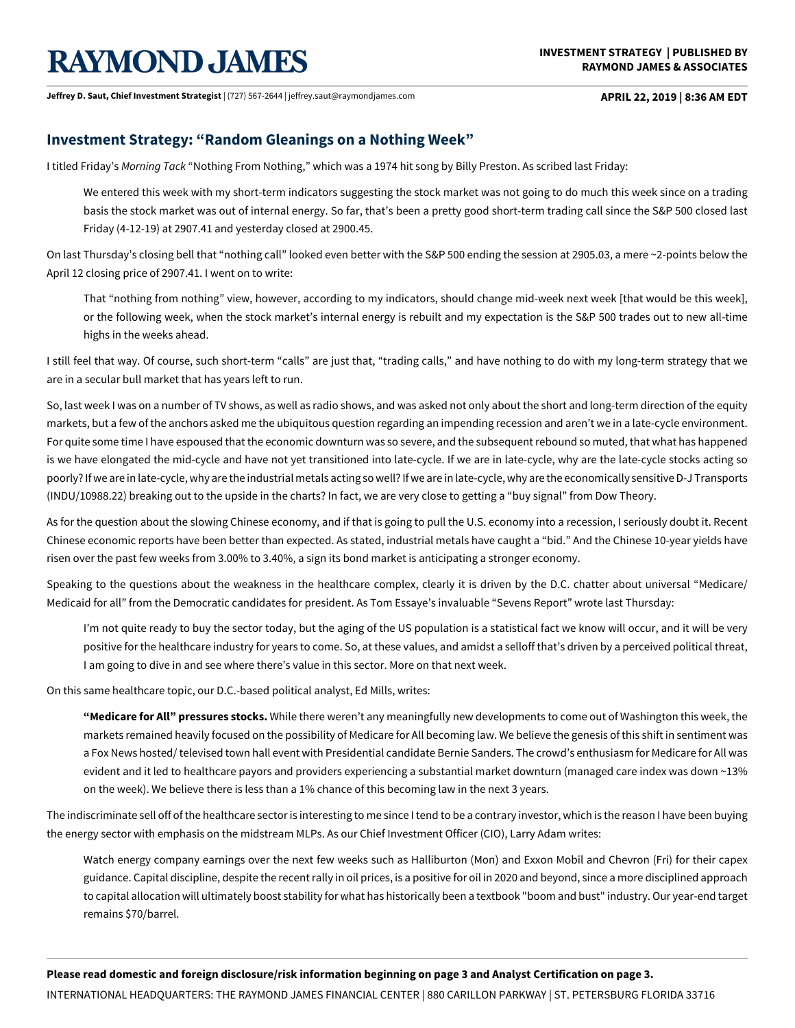# **RAYMOND JAMES**

**Jeffrey D. Saut, Chief Investment Strategist** | (727) 567-2644 | jeffrey.saut@raymondjames.com **APRIL 22, 2019 | 8:36 AM EDT**

## **Investment Strategy: "Random Gleanings on a Nothing Week"**

I titled Friday's *MorningTack* "Nothing From Nothing," which was a 1974 hit song by Billy Preston. As scribed last Friday:

We entered this week with my short-term indicators suggesting the stock market was not going to do much this week since on a trading basis the stock market was out of internal energy. So far, that's been a pretty good short-term trading call since the S&P 500 closed last Friday (4-12-19) at 2907.41 and yesterday closed at 2900.45.

On last Thursday's closing bell that "nothing call" looked even better with the S&P 500 ending the session at 2905.03, a mere ~2-points below the April 12 closing price of 2907.41. I went on to write:

That "nothing from nothing" view, however, according to my indicators, should change mid-week next week [that would be this week], or the following week, when the stock market's internal energy is rebuilt and my expectation is the S&P 500 trades out to new all-time highs in the weeks ahead.

I still feel that way. Of course, such short-term "calls" are just that, "trading calls," and have nothing to do with my long-term strategy that we are in a secular bull market that has years left to run.

So, last week I was on a number of TV shows, as well as radio shows, and was asked not only about the short and long-term direction of the equity markets, but a few of the anchors asked me the ubiquitous question regarding an impending recession and aren't we in a late-cycle environment. For quite some time I have espoused that the economic downturn was so severe, and the subsequent rebound so muted, that what has happened is we have elongated the mid-cycle and have not yet transitioned into late-cycle. If we are in late-cycle, why are the late-cycle stocks acting so poorly? If we are in late-cycle, why are the industrial metals acting so well? If we are in late-cycle, why are the economically sensitive D-J Transports (INDU/10988.22) breaking out to the upside in the charts? In fact, we are very close to getting a "buy signal" from Dow Theory.

As for the question about the slowing Chinese economy, and if that is going to pull the U.S. economy into a recession, I seriously doubt it. Recent Chinese economic reports have been better than expected. As stated, industrial metals have caught a "bid." And the Chinese 10-year yields have risen over the past few weeks from 3.00% to 3.40%, a sign its bond market is anticipating a stronger economy.

Speaking to the questions about the weakness in the healthcare complex, clearly it is driven by the D.C. chatter about universal "Medicare/ Medicaid for all" from the Democratic candidates for president. As Tom Essaye's invaluable "Sevens Report" wrote last Thursday:

I'm not quite ready to buy the sector today, but the aging of the US population is a statistical fact we know will occur, and it will be very positive for the healthcare industry for years to come. So, at these values, and amidst a selloff that's driven by a perceived political threat, I am going to dive in and see where there's value in this sector. More on that next week.

On this same healthcare topic, our D.C.-based political analyst, Ed Mills, writes:

**"Medicare for All" pressures stocks.** While there weren't any meaningfully new developments to come out of Washington this week, the markets remained heavily focused on the possibility of Medicare for All becoming law. We believe the genesis of this shift in sentiment was a Fox News hosted/ televised town hall event with Presidential candidate Bernie Sanders. The crowd's enthusiasm for Medicare for All was evident and it led to healthcare payors and providers experiencing a substantial market downturn (managed care index was down ~13% on the week). We believe there is less than a 1% chance of this becoming law in the next 3 years.

The indiscriminate sell off of the healthcare sector is interesting to me since I tend to be a contrary investor, which is the reason I have been buying the energy sector with emphasis on the midstream MLPs. As our Chief Investment Officer (CIO), Larry Adam writes:

Watch energy company earnings over the next few weeks such as Halliburton (Mon) and Exxon Mobil and Chevron (Fri) for their capex guidance. Capital discipline, despite the recent rally in oil prices, is a positive for oil in 2020 and beyond, since a more disciplined approach to capital allocation will ultimately boost stability for what has historically been a textbook "boom and bust" industry. Our year-end target remains \$70/barrel.

**Please read domestic and foreign disclosure/risk information beginning on page 3 and Analyst Certification on page 3.**

INTERNATIONAL HEADQUARTERS: THE RAYMOND JAMES FINANCIAL CENTER | 880 CARILLON PARKWAY | ST. PETERSBURG FLORIDA 33716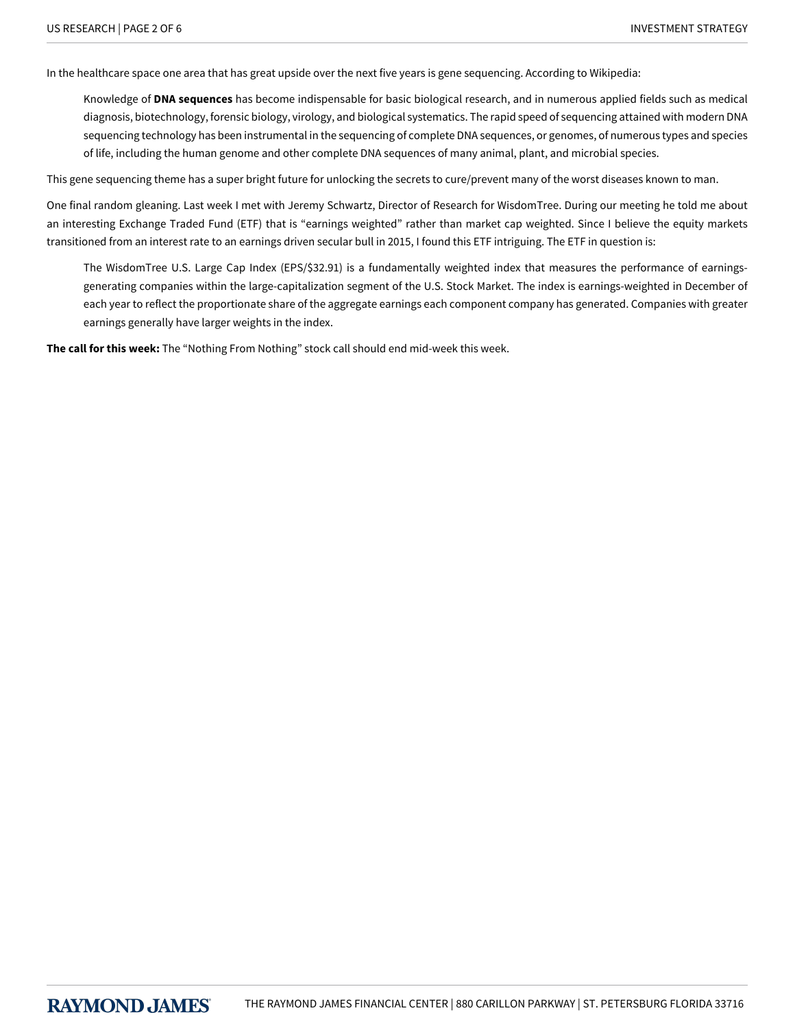In the healthcare space one area that has great upside over the next five years is gene sequencing. According to Wikipedia:

Knowledge of **DNA sequences** has become indispensable for basic biological research, and in numerous applied fields such as medical diagnosis, biotechnology, forensic biology, virology, and biological systematics. The rapid speed of sequencing attained with modern DNA sequencing technology has been instrumental in the sequencing of complete DNA sequences, or genomes, of numerous types and species of life, including the human genome and other complete DNA sequences of many animal, plant, and microbial species.

This gene sequencing theme has a super bright future for unlocking the secrets to cure/prevent many of the worst diseases known to man.

One final random gleaning. Last week I met with Jeremy Schwartz, Director of Research for WisdomTree. During our meeting he told me about an interesting Exchange Traded Fund (ETF) that is "earnings weighted" rather than market cap weighted. Since I believe the equity markets transitioned from an interest rate to an earnings driven secular bull in 2015, I found this ETF intriguing. The ETF in question is:

The WisdomTree U.S. Large Cap Index (EPS/\$32.91) is a fundamentally weighted index that measures the performance of earningsgenerating companies within the large-capitalization segment of the U.S. Stock Market. The index is earnings-weighted in December of each year to reflect the proportionate share of the aggregate earnings each component company has generated. Companies with greater earnings generally have larger weights in the index.

**The call for this week:** The "Nothing From Nothing" stock call should end mid-week this week.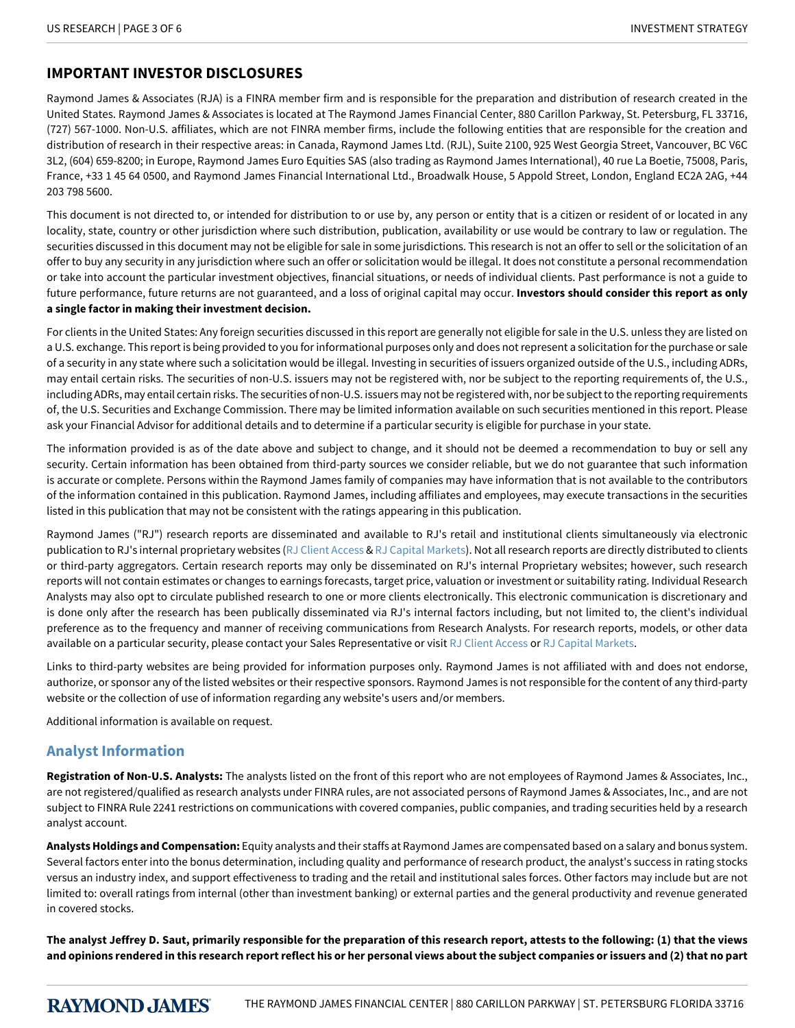# **IMPORTANT INVESTOR DISCLOSURES**

Raymond James & Associates (RJA) is a FINRA member firm and is responsible for the preparation and distribution of research created in the United States. Raymond James & Associates is located at The Raymond James Financial Center, 880 Carillon Parkway, St. Petersburg, FL 33716, (727) 567-1000. Non-U.S. affiliates, which are not FINRA member firms, include the following entities that are responsible for the creation and distribution of research in their respective areas: in Canada, Raymond James Ltd. (RJL), Suite 2100, 925 West Georgia Street, Vancouver, BC V6C 3L2, (604) 659-8200; in Europe, Raymond James Euro Equities SAS (also trading as Raymond James International), 40 rue La Boetie, 75008, Paris, France, +33 1 45 64 0500, and Raymond James Financial International Ltd., Broadwalk House, 5 Appold Street, London, England EC2A 2AG, +44 203 798 5600.

This document is not directed to, or intended for distribution to or use by, any person or entity that is a citizen or resident of or located in any locality, state, country or other jurisdiction where such distribution, publication, availability or use would be contrary to law or regulation. The securities discussed in this document may not be eligible for sale in some jurisdictions. This research is not an offer to sell or the solicitation of an offer to buy any security in any jurisdiction where such an offer or solicitation would be illegal. It does not constitute a personal recommendation or take into account the particular investment objectives, financial situations, or needs of individual clients. Past performance is not a guide to future performance, future returns are not guaranteed, and a loss of original capital may occur. **Investors should consider this report as only a single factor in making their investment decision.**

For clients in the United States: Any foreign securities discussed in this report are generally not eligible for sale in the U.S. unless they are listed on a U.S. exchange. This report is being provided to you for informational purposes only and does not represent a solicitation for the purchase or sale of a security in any state where such a solicitation would be illegal. Investing in securities of issuers organized outside of the U.S., including ADRs, may entail certain risks. The securities of non-U.S. issuers may not be registered with, nor be subject to the reporting requirements of, the U.S., including ADRs, may entail certain risks. The securities of non-U.S. issuers may not be registered with, nor be subject to the reporting requirements of, the U.S. Securities and Exchange Commission. There may be limited information available on such securities mentioned in this report. Please ask your Financial Advisor for additional details and to determine if a particular security is eligible for purchase in your state.

The information provided is as of the date above and subject to change, and it should not be deemed a recommendation to buy or sell any security. Certain information has been obtained from third-party sources we consider reliable, but we do not guarantee that such information is accurate or complete. Persons within the Raymond James family of companies may have information that is not available to the contributors of the information contained in this publication. Raymond James, including affiliates and employees, may execute transactions in the securities listed in this publication that may not be consistent with the ratings appearing in this publication.

Raymond James ("RJ") research reports are disseminated and available to RJ's retail and institutional clients simultaneously via electronic publication to RJ's internal proprietary websites [\(RJ Client Access](https://clientaccess.rjf.com/) & [RJ Capital Markets\)](http://www.rjcapitalmarkets.com/Logon/Index). Not all research reports are directly distributed to clients or third-party aggregators. Certain research reports may only be disseminated on RJ's internal Proprietary websites; however, such research reports will not contain estimates or changes to earnings forecasts, target price, valuation or investment or suitability rating. Individual Research Analysts may also opt to circulate published research to one or more clients electronically. This electronic communication is discretionary and is done only after the research has been publically disseminated via RJ's internal factors including, but not limited to, the client's individual preference as to the frequency and manner of receiving communications from Research Analysts. For research reports, models, or other data available on a particular security, please contact your Sales Representative or visit [RJ Client Access](https://clientaccess.rjf.com/) or [RJ Capital Markets](http://www.rjcapitalmarkets.com/Logon/Index).

Links to third-party websites are being provided for information purposes only. Raymond James is not affiliated with and does not endorse, authorize, or sponsor any of the listed websites or their respective sponsors. Raymond James is not responsible for the content of any third-party website or the collection of use of information regarding any website's users and/or members.

Additional information is available on request.

# **Analyst Information**

**Registration of Non-U.S. Analysts:** The analysts listed on the front of this report who are not employees of Raymond James & Associates, Inc., are not registered/qualified as research analysts under FINRA rules, are not associated persons of Raymond James & Associates, Inc., and are not subject to FINRA Rule 2241 restrictions on communications with covered companies, public companies, and trading securities held by a research analyst account.

**Analysts Holdings and Compensation:** Equity analysts and their staffs at Raymond James are compensated based on a salary and bonus system. Several factors enter into the bonus determination, including quality and performance of research product, the analyst's success in rating stocks versus an industry index, and support effectiveness to trading and the retail and institutional sales forces. Other factors may include but are not limited to: overall ratings from internal (other than investment banking) or external parties and the general productivity and revenue generated in covered stocks.

**The analyst Jeffrey D. Saut, primarily responsible for the preparation of this research report, attests to the following: (1) that the views and opinions rendered in this research report reflect his or her personal views about the subject companies or issuers and (2) that no part**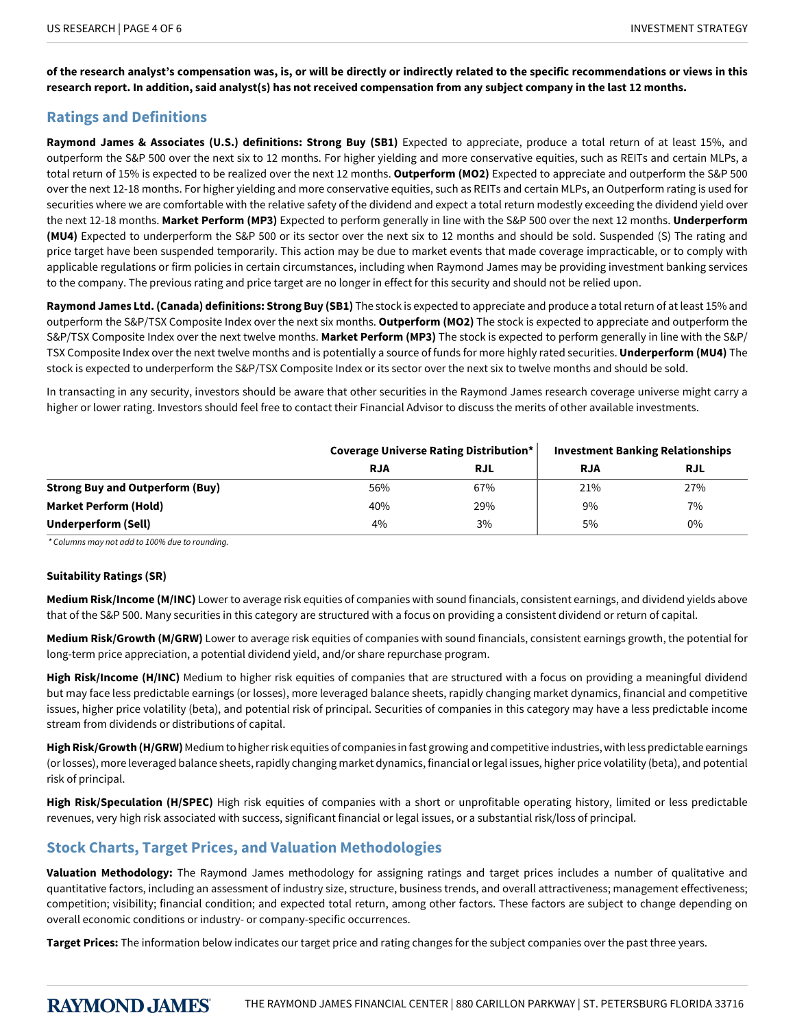**of the research analyst's compensation was, is, or will be directly or indirectly related to the specific recommendations or views in this research report. In addition, said analyst(s) has not received compensation from any subject company in the last 12 months.**

# **Ratings and Definitions**

**Raymond James & Associates (U.S.) definitions: Strong Buy (SB1)** Expected to appreciate, produce a total return of at least 15%, and outperform the S&P 500 over the next six to 12 months. For higher yielding and more conservative equities, such as REITs and certain MLPs, a total return of 15% is expected to be realized over the next 12 months. **Outperform (MO2)** Expected to appreciate and outperform the S&P 500 over the next 12-18 months. For higher yielding and more conservative equities, such as REITs and certain MLPs, an Outperform rating is used for securities where we are comfortable with the relative safety of the dividend and expect a total return modestly exceeding the dividend yield over the next 12-18 months. **Market Perform (MP3)** Expected to perform generally in line with the S&P 500 over the next 12 months. **Underperform (MU4)** Expected to underperform the S&P 500 or its sector over the next six to 12 months and should be sold. Suspended (S) The rating and price target have been suspended temporarily. This action may be due to market events that made coverage impracticable, or to comply with applicable regulations or firm policies in certain circumstances, including when Raymond James may be providing investment banking services to the company. The previous rating and price target are no longer in effect for this security and should not be relied upon.

**Raymond James Ltd. (Canada) definitions: Strong Buy (SB1)** The stock is expected to appreciate and produce a total return of at least 15% and outperform the S&P/TSX Composite Index over the next six months. **Outperform (MO2)** The stock is expected to appreciate and outperform the S&P/TSX Composite Index over the next twelve months. **Market Perform (MP3)** The stock is expected to perform generally in line with the S&P/ TSX Composite Index over the next twelve months and is potentially a source of funds for more highly rated securities. **Underperform (MU4)** The stock is expected to underperform the S&P/TSX Composite Index or its sector over the next six to twelve months and should be sold.

In transacting in any security, investors should be aware that other securities in the Raymond James research coverage universe might carry a higher or lower rating. Investors should feel free to contact their Financial Advisor to discuss the merits of other available investments.

|                                        | Coverage Universe Rating Distribution* |            | <b>Investment Banking Relationships</b> |            |
|----------------------------------------|----------------------------------------|------------|-----------------------------------------|------------|
|                                        | <b>RJA</b>                             | <b>RJL</b> | <b>RJA</b>                              | <b>RJL</b> |
| <b>Strong Buy and Outperform (Buy)</b> | 56%                                    | 67%        | 21%                                     | 27%        |
| <b>Market Perform (Hold)</b>           | 40%                                    | 29%        | 9%                                      | 7%         |
| Underperform (Sell)                    | 4%                                     | 3%         | 5%                                      | 0%         |

*\*Columnsmaynotaddto100%duetorounding.*

## **Suitability Ratings (SR)**

**Medium Risk/Income (M/INC)** Lower to average risk equities of companies with sound financials, consistent earnings, and dividend yields above that of the S&P 500. Many securities in this category are structured with a focus on providing a consistent dividend or return of capital.

**Medium Risk/Growth (M/GRW)** Lower to average risk equities of companies with sound financials, consistent earnings growth, the potential for long-term price appreciation, a potential dividend yield, and/or share repurchase program.

High Risk/Income (H/INC) Medium to higher risk equities of companies that are structured with a focus on providing a meaningful dividend but may face less predictable earnings (or losses), more leveraged balance sheets, rapidly changing market dynamics, financial and competitive issues, higher price volatility (beta), and potential risk of principal. Securities of companies in this category may have a less predictable income stream from dividends or distributions of capital.

**High Risk/Growth (H/GRW)** Medium to higher risk equities of companies in fast growing and competitive industries, with less predictable earnings (or losses), more leveraged balance sheets, rapidly changing market dynamics, financial or legal issues, higher price volatility (beta), and potential risk of principal.

**High Risk/Speculation (H/SPEC)** High risk equities of companies with a short or unprofitable operating history, limited or less predictable revenues, very high risk associated with success, significant financial or legal issues, or a substantial risk/loss of principal.

# **Stock Charts, Target Prices, and Valuation Methodologies**

**Valuation Methodology:** The Raymond James methodology for assigning ratings and target prices includes a number of qualitative and quantitative factors, including an assessment of industry size, structure, business trends, and overall attractiveness; management effectiveness; competition; visibility; financial condition; and expected total return, among other factors. These factors are subject to change depending on overall economic conditions or industry- or company-specific occurrences.

**Target Prices:** The information below indicates our target price and rating changes for the subject companies over the past three years.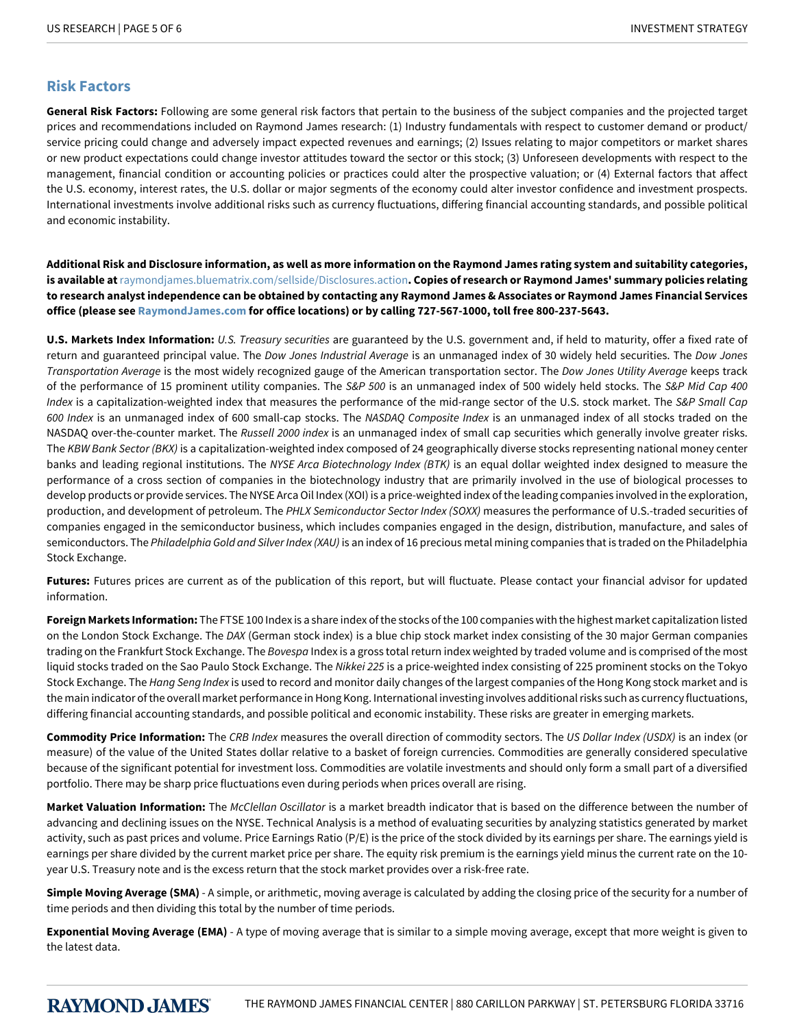## **Risk Factors**

**General Risk Factors:** Following are some general risk factors that pertain to the business of the subject companies and the projected target prices and recommendations included on Raymond James research: (1) Industry fundamentals with respect to customer demand or product/ service pricing could change and adversely impact expected revenues and earnings; (2) Issues relating to major competitors or market shares or new product expectations could change investor attitudes toward the sector or this stock; (3) Unforeseen developments with respect to the management, financial condition or accounting policies or practices could alter the prospective valuation; or (4) External factors that affect the U.S. economy, interest rates, the U.S. dollar or major segments of the economy could alter investor confidence and investment prospects. International investments involve additional risks such as currency fluctuations, differing financial accounting standards, and possible political and economic instability.

**Additional Risk and Disclosure information, as well as more information on the Raymond James rating system and suitability categories, is available at**[raymondjames.bluematrix.com/sellside/Disclosures.action](https://raymondjames.bluematrix.com/sellside/Disclosures.action)**. Copies of research or Raymond James' summary policies relating to research analyst independence can be obtained by contacting any Raymond James & Associates or Raymond James Financial Services office (please see [RaymondJames.com](http://raymondjames.com) for office locations) or by calling 727-567-1000, toll free 800-237-5643.**

**U.S. Markets Index Information:** *U.S.Treasurysecurities* are guaranteed by the U.S. government and, if held to maturity, offer a fixed rate of return and guaranteed principal value. The *Dow Jones Industrial Average* is an unmanaged index of 30 widely held securities. The *Dow Jones Transportation-verage* is the most widely recognized gauge of the American transportation sector. The *DowJonesUtility-verage* keeps track of the performance of 15 prominent utility companies. The *S&P500* is an unmanaged index of 500 widely held stocks. The *S&PMidCap400* Index is a capitalization-weighted index that measures the performance of the mid-range sector of the U.S. stock market. The *S&P Small Cap* 600 Index is an unmanaged index of 600 small-cap stocks. The *NASDAQ Composite Index* is an unmanaged index of all stocks traded on the NASDAQ over-the-counter market. The *Russell 2000 index* is an unmanaged index of small cap securities which generally involve greater risks. The *KBW Bank Sector (BKX)* is a capitalization-weighted index composed of 24 geographically diverse stocks representing national money center banks and leading regional institutions. The NYSE Arca Biotechnology Index (BTK) is an equal dollar weighted index designed to measure the performance of a cross section of companies in the biotechnology industry that are primarily involved in the use of biological processes to develop products or provide services. The NYSE Arca Oil Index (XOI) is a price-weighted index of the leading companies involved in the exploration, production, and development of petroleum. The PHLX Semiconductor Sector Index (SOXX) measures the performance of U.S.-traded securities of companies engaged in the semiconductor business, which includes companies engaged in the design, distribution, manufacture, and sales of semiconductors. The *Philadelphia Gold and Silver Index (XAU)* is an index of 16 precious metal mining companies that is traded on the Philadelphia Stock Exchange.

**Futures:** Futures prices are current as of the publication of this report, but will fluctuate. Please contact your financial advisor for updated information.

**Foreign Markets Information:** The FTSE 100 Index is a share index of the stocks of the 100 companies with the highest market capitalization listed on the London Stock Exchange. The *DAX* (German stock index) is a blue chip stock market index consisting of the 30 major German companies trading on the Frankfurt Stock Exchange. The *Bovespa* Index is a gross total return index weighted by traded volume and is comprised of the most liquid stocks traded on the Sao Paulo Stock Exchange. The *Nikkei 225* is a price-weighted index consisting of 225 prominent stocks on the Tokyo Stock Exchange. The *Hang Seng Index* is used to record and monitor daily changes of the largest companies of the Hong Kong stock market and is the main indicator of the overall market performance in Hong Kong. International investing involves additional risks such as currency fluctuations, differing financial accounting standards, and possible political and economic instability. These risks are greater in emerging markets.

**Commodity Price Information:** The *CRB Index* measures the overall direction of commodity sectors. The *US Dollar Index (USDX)* is an index (or measure) of the value of the United States dollar relative to a basket of foreign currencies. Commodities are generally considered speculative because of the significant potential for investment loss. Commodities are volatile investments and should only form a small part of a diversified portfolio. There may be sharp price fluctuations even during periods when prices overall are rising.

Market Valuation Information: The *McClellan Oscillator* is a market breadth indicator that is based on the difference between the number of advancing and declining issues on the NYSE. Technical Analysis is a method of evaluating securities by analyzing statistics generated by market activity, such as past prices and volume. Price Earnings Ratio (P/E) is the price of the stock divided by its earnings per share. The earnings yield is earnings per share divided by the current market price per share. The equity risk premium is the earnings yield minus the current rate on the 10 year U.S. Treasury note and is the excess return that the stock market provides over a risk-free rate.

**Simple Moving Average (SMA)** - A simple, or arithmetic, moving average is calculated by adding the closing price of the security for a number of time periods and then dividing this total by the number of time periods.

**Exponential Moving Average (EMA)** - A type of moving average that is similar to a simple moving average, except that more weight is given to the latest data.